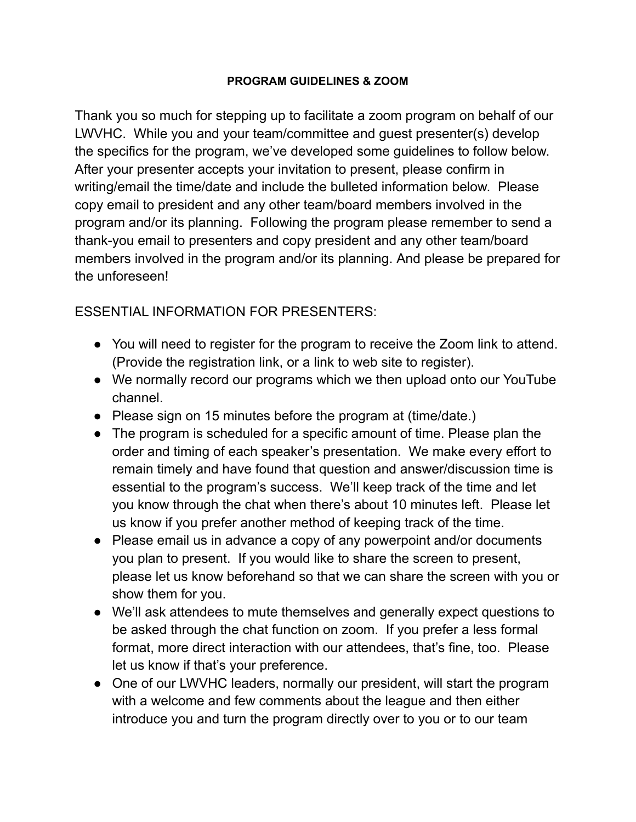## **PROGRAM GUIDELINES & ZOOM**

Thank you so much for stepping up to facilitate a zoom program on behalf of our LWVHC. While you and your team/committee and guest presenter(s) develop the specifics for the program, we've developed some guidelines to follow below. After your presenter accepts your invitation to present, please confirm in writing/email the time/date and include the bulleted information below. Please copy email to president and any other team/board members involved in the program and/or its planning. Following the program please remember to send a thank-you email to presenters and copy president and any other team/board members involved in the program and/or its planning. And please be prepared for the unforeseen!

## ESSENTIAL INFORMATION FOR PRESENTERS:

- You will need to register for the program to receive the Zoom link to attend. (Provide the registration link, or a link to web site to register).
- We normally record our programs which we then upload onto our YouTube channel.
- Please sign on 15 minutes before the program at (time/date.)
- The program is scheduled for a specific amount of time. Please plan the order and timing of each speaker's presentation. We make every effort to remain timely and have found that question and answer/discussion time is essential to the program's success. We'll keep track of the time and let you know through the chat when there's about 10 minutes left. Please let us know if you prefer another method of keeping track of the time.
- Please email us in advance a copy of any powerpoint and/or documents you plan to present. If you would like to share the screen to present, please let us know beforehand so that we can share the screen with you or show them for you.
- We'll ask attendees to mute themselves and generally expect questions to be asked through the chat function on zoom. If you prefer a less formal format, more direct interaction with our attendees, that's fine, too. Please let us know if that's your preference.
- One of our LWVHC leaders, normally our president, will start the program with a welcome and few comments about the league and then either introduce you and turn the program directly over to you or to our team